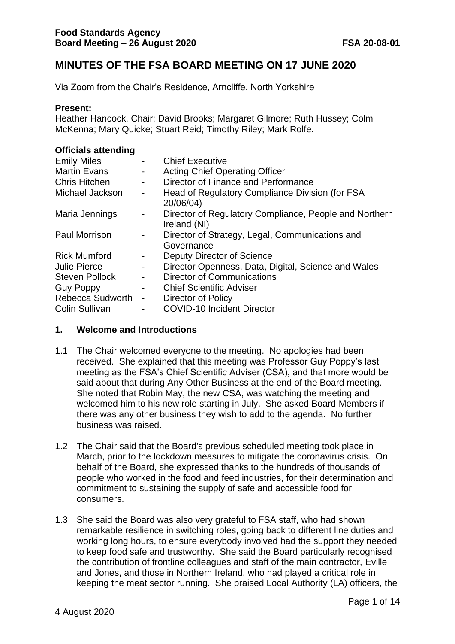# **MINUTES OF THE FSA BOARD MEETING ON 17 JUNE 2020**

Via Zoom from the Chair's Residence, Arncliffe, North Yorkshire

#### **Present:**

Heather Hancock, Chair; David Brooks; Margaret Gilmore; Ruth Hussey; Colm McKenna; Mary Quicke; Stuart Reid; Timothy Riley; Mark Rolfe.

#### **Officials attending**

| <b>Emily Miles</b>    |                              | <b>Chief Executive</b>                                                 |
|-----------------------|------------------------------|------------------------------------------------------------------------|
| <b>Martin Evans</b>   | $\blacksquare$               | <b>Acting Chief Operating Officer</b>                                  |
| <b>Chris Hitchen</b>  | $\sim$                       | Director of Finance and Performance                                    |
| Michael Jackson       | $\qquad \qquad \blacksquare$ | Head of Regulatory Compliance Division (for FSA<br>20/06/04)           |
| Maria Jennings        | $\overline{\phantom{0}}$     | Director of Regulatory Compliance, People and Northern<br>Ireland (NI) |
| <b>Paul Morrison</b>  | $\blacksquare$               | Director of Strategy, Legal, Communications and<br>Governance          |
| <b>Rick Mumford</b>   | $\qquad \qquad \blacksquare$ | Deputy Director of Science                                             |
| <b>Julie Pierce</b>   | $\overline{\phantom{a}}$     | Director Openness, Data, Digital, Science and Wales                    |
| <b>Steven Pollock</b> | $\blacksquare$               | Director of Communications                                             |
| <b>Guy Poppy</b>      | $\qquad \qquad \blacksquare$ | <b>Chief Scientific Adviser</b>                                        |
| Rebecca Sudworth      | $\qquad \qquad \blacksquare$ | Director of Policy                                                     |
| <b>Colin Sullivan</b> | $\overline{a}$               | <b>COVID-10 Incident Director</b>                                      |

#### **1. Welcome and Introductions**

- 1.1 The Chair welcomed everyone to the meeting. No apologies had been received. She explained that this meeting was Professor Guy Poppy's last meeting as the FSA's Chief Scientific Adviser (CSA), and that more would be said about that during Any Other Business at the end of the Board meeting. She noted that Robin May, the new CSA, was watching the meeting and welcomed him to his new role starting in July. She asked Board Members if there was any other business they wish to add to the agenda. No further business was raised.
- 1.2 The Chair said that the Board's previous scheduled meeting took place in March, prior to the lockdown measures to mitigate the coronavirus crisis. On behalf of the Board, she expressed thanks to the hundreds of thousands of people who worked in the food and feed industries, for their determination and commitment to sustaining the supply of safe and accessible food for consumers.
- 1.3 She said the Board was also very grateful to FSA staff, who had shown remarkable resilience in switching roles, going back to different line duties and working long hours, to ensure everybody involved had the support they needed to keep food safe and trustworthy. She said the Board particularly recognised the contribution of frontline colleagues and staff of the main contractor, Eville and Jones, and those in Northern Ireland, who had played a critical role in keeping the meat sector running. She praised Local Authority (LA) officers, the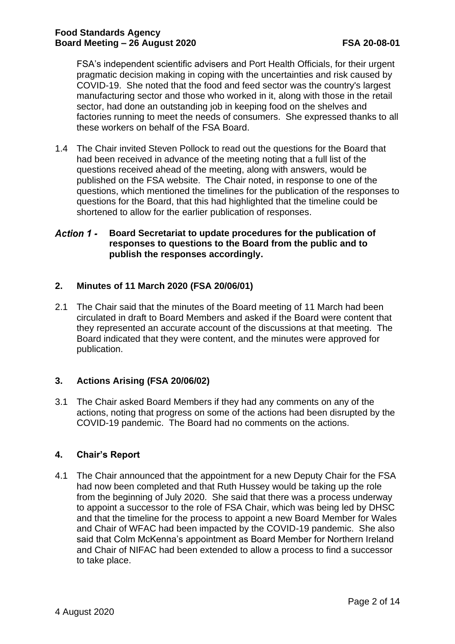FSA's independent scientific advisers and Port Health Officials, for their urgent pragmatic decision making in coping with the uncertainties and risk caused by COVID-19. She noted that the food and feed sector was the country's largest manufacturing sector and those who worked in it, along with those in the retail sector, had done an outstanding job in keeping food on the shelves and factories running to meet the needs of consumers. She expressed thanks to all these workers on behalf of the FSA Board.

1.4 The Chair invited Steven Pollock to read out the questions for the Board that had been received in advance of the meeting noting that a full list of the questions received ahead of the meeting, along with answers, would be published on the FSA website. The Chair noted, in response to one of the questions, which mentioned the timelines for the publication of the responses to questions for the Board, that this had highlighted that the timeline could be shortened to allow for the earlier publication of responses.

#### Action 1 -**Board Secretariat to update procedures for the publication of responses to questions to the Board from the public and to publish the responses accordingly.**

# **2. Minutes of 11 March 2020 (FSA 20/06/01)**

2.1 The Chair said that the minutes of the Board meeting of 11 March had been circulated in draft to Board Members and asked if the Board were content that they represented an accurate account of the discussions at that meeting. The Board indicated that they were content, and the minutes were approved for publication.

# **3. Actions Arising (FSA 20/06/02)**

3.1 The Chair asked Board Members if they had any comments on any of the actions, noting that progress on some of the actions had been disrupted by the COVID-19 pandemic. The Board had no comments on the actions.

# **4. Chair's Report**

4.1 The Chair announced that the appointment for a new Deputy Chair for the FSA had now been completed and that Ruth Hussey would be taking up the role from the beginning of July 2020. She said that there was a process underway to appoint a successor to the role of FSA Chair, which was being led by DHSC and that the timeline for the process to appoint a new Board Member for Wales and Chair of WFAC had been impacted by the COVID-19 pandemic. She also said that Colm McKenna's appointment as Board Member for Northern Ireland and Chair of NIFAC had been extended to allow a process to find a successor to take place.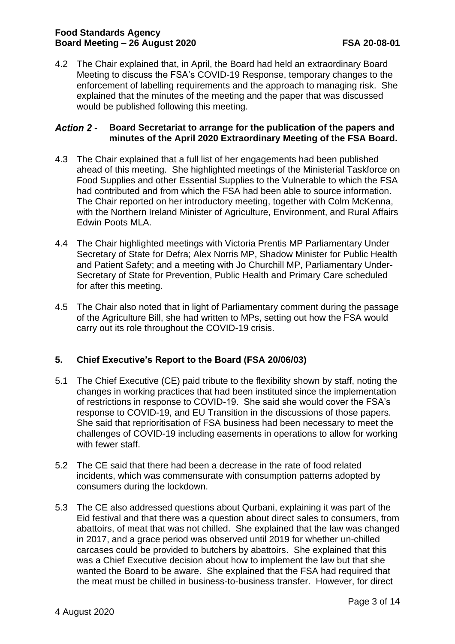# **Food Standards Agency Board Meeting – 26 August 2020 FSA 20-08-01**

4.2 The Chair explained that, in April, the Board had held an extraordinary Board Meeting to discuss the FSA's COVID-19 Response, temporary changes to the enforcement of labelling requirements and the approach to managing risk. She explained that the minutes of the meeting and the paper that was discussed would be published following this meeting.

#### **Board Secretariat to arrange for the publication of the papers and Action 2 minutes of the April 2020 Extraordinary Meeting of the FSA Board.**

- 4.3 The Chair explained that a full list of her engagements had been published ahead of this meeting. She highlighted meetings of the Ministerial Taskforce on Food Supplies and other Essential Supplies to the Vulnerable to which the FSA had contributed and from which the FSA had been able to source information. The Chair reported on her introductory meeting, together with Colm McKenna, with the Northern Ireland Minister of Agriculture, Environment, and Rural Affairs Edwin Poots MLA.
- 4.4 The Chair highlighted meetings with Victoria Prentis MP Parliamentary Under Secretary of State for Defra; Alex Norris MP, Shadow Minister for Public Health and Patient Safety; and a meeting with Jo Churchill MP, Parliamentary Under-Secretary of State for Prevention, Public Health and Primary Care scheduled for after this meeting.
- 4.5 The Chair also noted that in light of Parliamentary comment during the passage of the Agriculture Bill, she had written to MPs, setting out how the FSA would carry out its role throughout the COVID-19 crisis.

# **5. Chief Executive's Report to the Board (FSA 20/06/03)**

- 5.1 The Chief Executive (CE) paid tribute to the flexibility shown by staff, noting the changes in working practices that had been instituted since the implementation of restrictions in response to COVID-19. She said she would cover the FSA's response to COVID-19, and EU Transition in the discussions of those papers. She said that reprioritisation of FSA business had been necessary to meet the challenges of COVID-19 including easements in operations to allow for working with fewer staff.
- 5.2 The CE said that there had been a decrease in the rate of food related incidents, which was commensurate with consumption patterns adopted by consumers during the lockdown.
- 5.3 The CE also addressed questions about Qurbani, explaining it was part of the Eid festival and that there was a question about direct sales to consumers, from abattoirs, of meat that was not chilled. She explained that the law was changed in 2017, and a grace period was observed until 2019 for whether un-chilled carcases could be provided to butchers by abattoirs. She explained that this was a Chief Executive decision about how to implement the law but that she wanted the Board to be aware. She explained that the FSA had required that the meat must be chilled in business-to-business transfer. However, for direct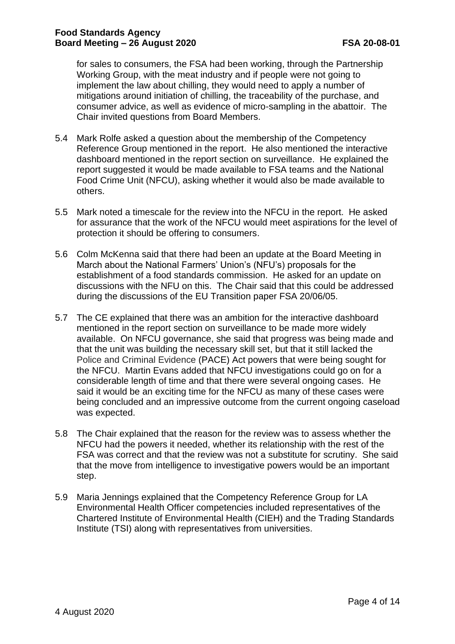for sales to consumers, the FSA had been working, through the Partnership Working Group, with the meat industry and if people were not going to implement the law about chilling, they would need to apply a number of mitigations around initiation of chilling, the traceability of the purchase, and consumer advice, as well as evidence of micro-sampling in the abattoir. The Chair invited questions from Board Members.

- 5.4 Mark Rolfe asked a question about the membership of the Competency Reference Group mentioned in the report. He also mentioned the interactive dashboard mentioned in the report section on surveillance. He explained the report suggested it would be made available to FSA teams and the National Food Crime Unit (NFCU), asking whether it would also be made available to others.
- 5.5 Mark noted a timescale for the review into the NFCU in the report. He asked for assurance that the work of the NFCU would meet aspirations for the level of protection it should be offering to consumers.
- 5.6 Colm McKenna said that there had been an update at the Board Meeting in March about the National Farmers' Union's (NFU's) proposals for the establishment of a food standards commission. He asked for an update on discussions with the NFU on this. The Chair said that this could be addressed during the discussions of the EU Transition paper FSA 20/06/05.
- 5.7 The CE explained that there was an ambition for the interactive dashboard mentioned in the report section on surveillance to be made more widely available. On NFCU governance, she said that progress was being made and that the unit was building the necessary skill set, but that it still lacked the Police and Criminal Evidence (PACE) Act powers that were being sought for the NFCU. Martin Evans added that NFCU investigations could go on for a considerable length of time and that there were several ongoing cases. He said it would be an exciting time for the NFCU as many of these cases were being concluded and an impressive outcome from the current ongoing caseload was expected.
- 5.8 The Chair explained that the reason for the review was to assess whether the NFCU had the powers it needed, whether its relationship with the rest of the FSA was correct and that the review was not a substitute for scrutiny. She said that the move from intelligence to investigative powers would be an important step.
- 5.9 Maria Jennings explained that the Competency Reference Group for LA Environmental Health Officer competencies included representatives of the Chartered Institute of Environmental Health (CIEH) and the Trading Standards Institute (TSI) along with representatives from universities.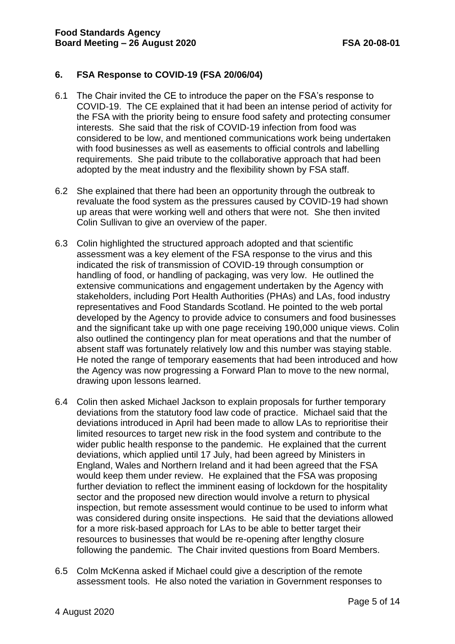# **6. FSA Response to COVID-19 (FSA 20/06/04)**

- 6.1 The Chair invited the CE to introduce the paper on the FSA's response to COVID-19. The CE explained that it had been an intense period of activity for the FSA with the priority being to ensure food safety and protecting consumer interests. She said that the risk of COVID-19 infection from food was considered to be low, and mentioned communications work being undertaken with food businesses as well as easements to official controls and labelling requirements. She paid tribute to the collaborative approach that had been adopted by the meat industry and the flexibility shown by FSA staff.
- 6.2 She explained that there had been an opportunity through the outbreak to revaluate the food system as the pressures caused by COVID-19 had shown up areas that were working well and others that were not. She then invited Colin Sullivan to give an overview of the paper.
- 6.3 Colin highlighted the structured approach adopted and that scientific assessment was a key element of the FSA response to the virus and this indicated the risk of transmission of COVID-19 through consumption or handling of food, or handling of packaging, was very low. He outlined the extensive communications and engagement undertaken by the Agency with stakeholders, including Port Health Authorities (PHAs) and LAs, food industry representatives and Food Standards Scotland. He pointed to the web portal developed by the Agency to provide advice to consumers and food businesses and the significant take up with one page receiving 190,000 unique views. Colin also outlined the contingency plan for meat operations and that the number of absent staff was fortunately relatively low and this number was staying stable. He noted the range of temporary easements that had been introduced and how the Agency was now progressing a Forward Plan to move to the new normal, drawing upon lessons learned.
- 6.4 Colin then asked Michael Jackson to explain proposals for further temporary deviations from the statutory food law code of practice. Michael said that the deviations introduced in April had been made to allow LAs to reprioritise their limited resources to target new risk in the food system and contribute to the wider public health response to the pandemic. He explained that the current deviations, which applied until 17 July, had been agreed by Ministers in England, Wales and Northern Ireland and it had been agreed that the FSA would keep them under review. He explained that the FSA was proposing further deviation to reflect the imminent easing of lockdown for the hospitality sector and the proposed new direction would involve a return to physical inspection, but remote assessment would continue to be used to inform what was considered during onsite inspections. He said that the deviations allowed for a more risk-based approach for LAs to be able to better target their resources to businesses that would be re-opening after lengthy closure following the pandemic. The Chair invited questions from Board Members.
- 6.5 Colm McKenna asked if Michael could give a description of the remote assessment tools. He also noted the variation in Government responses to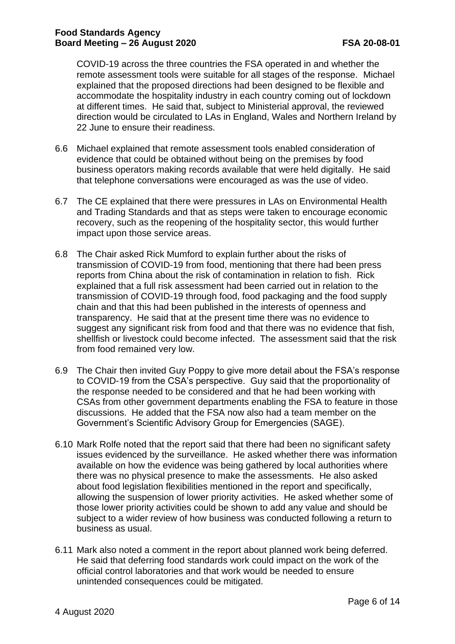COVID-19 across the three countries the FSA operated in and whether the remote assessment tools were suitable for all stages of the response. Michael explained that the proposed directions had been designed to be flexible and accommodate the hospitality industry in each country coming out of lockdown at different times. He said that, subject to Ministerial approval, the reviewed direction would be circulated to LAs in England, Wales and Northern Ireland by 22 June to ensure their readiness.

- 6.6 Michael explained that remote assessment tools enabled consideration of evidence that could be obtained without being on the premises by food business operators making records available that were held digitally. He said that telephone conversations were encouraged as was the use of video.
- 6.7 The CE explained that there were pressures in LAs on Environmental Health and Trading Standards and that as steps were taken to encourage economic recovery, such as the reopening of the hospitality sector, this would further impact upon those service areas.
- 6.8 The Chair asked Rick Mumford to explain further about the risks of transmission of COVID-19 from food, mentioning that there had been press reports from China about the risk of contamination in relation to fish. Rick explained that a full risk assessment had been carried out in relation to the transmission of COVID-19 through food, food packaging and the food supply chain and that this had been published in the interests of openness and transparency. He said that at the present time there was no evidence to suggest any significant risk from food and that there was no evidence that fish, shellfish or livestock could become infected. The assessment said that the risk from food remained very low.
- 6.9 The Chair then invited Guy Poppy to give more detail about the FSA's response to COVID-19 from the CSA's perspective. Guy said that the proportionality of the response needed to be considered and that he had been working with CSAs from other government departments enabling the FSA to feature in those discussions. He added that the FSA now also had a team member on the Government's Scientific Advisory Group for Emergencies (SAGE).
- 6.10 Mark Rolfe noted that the report said that there had been no significant safety issues evidenced by the surveillance. He asked whether there was information available on how the evidence was being gathered by local authorities where there was no physical presence to make the assessments. He also asked about food legislation flexibilities mentioned in the report and specifically, allowing the suspension of lower priority activities. He asked whether some of those lower priority activities could be shown to add any value and should be subject to a wider review of how business was conducted following a return to business as usual.
- 6.11 Mark also noted a comment in the report about planned work being deferred. He said that deferring food standards work could impact on the work of the official control laboratories and that work would be needed to ensure unintended consequences could be mitigated.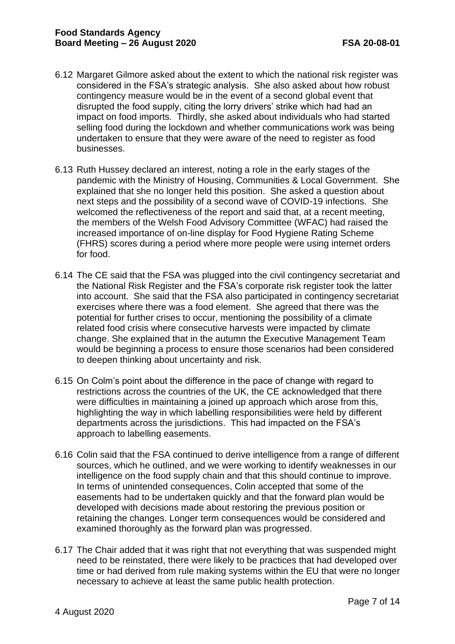- 6.12 Margaret Gilmore asked about the extent to which the national risk register was considered in the FSA's strategic analysis. She also asked about how robust contingency measure would be in the event of a second global event that disrupted the food supply, citing the lorry drivers' strike which had had an impact on food imports. Thirdly, she asked about individuals who had started selling food during the lockdown and whether communications work was being undertaken to ensure that they were aware of the need to register as food businesses.
- 6.13 Ruth Hussey declared an interest, noting a role in the early stages of the pandemic with the Ministry of Housing, Communities & Local Government. She explained that she no longer held this position. She asked a question about next steps and the possibility of a second wave of COVID-19 infections. She welcomed the reflectiveness of the report and said that, at a recent meeting, the members of the Welsh Food Advisory Committee (WFAC) had raised the increased importance of on-line display for Food Hygiene Rating Scheme (FHRS) scores during a period where more people were using internet orders for food.
- 6.14 The CE said that the FSA was plugged into the civil contingency secretariat and the National Risk Register and the FSA's corporate risk register took the latter into account. She said that the FSA also participated in contingency secretariat exercises where there was a food element. She agreed that there was the potential for further crises to occur, mentioning the possibility of a climate related food crisis where consecutive harvests were impacted by climate change. She explained that in the autumn the Executive Management Team would be beginning a process to ensure those scenarios had been considered to deepen thinking about uncertainty and risk.
- 6.15 On Colm's point about the difference in the pace of change with regard to restrictions across the countries of the UK, the CE acknowledged that there were difficulties in maintaining a joined up approach which arose from this, highlighting the way in which labelling responsibilities were held by different departments across the jurisdictions. This had impacted on the FSA's approach to labelling easements.
- 6.16 Colin said that the FSA continued to derive intelligence from a range of different sources, which he outlined, and we were working to identify weaknesses in our intelligence on the food supply chain and that this should continue to improve. In terms of unintended consequences, Colin accepted that some of the easements had to be undertaken quickly and that the forward plan would be developed with decisions made about restoring the previous position or retaining the changes. Longer term consequences would be considered and examined thoroughly as the forward plan was progressed.
- 6.17 The Chair added that it was right that not everything that was suspended might need to be reinstated, there were likely to be practices that had developed over time or had derived from rule making systems within the EU that were no longer necessary to achieve at least the same public health protection.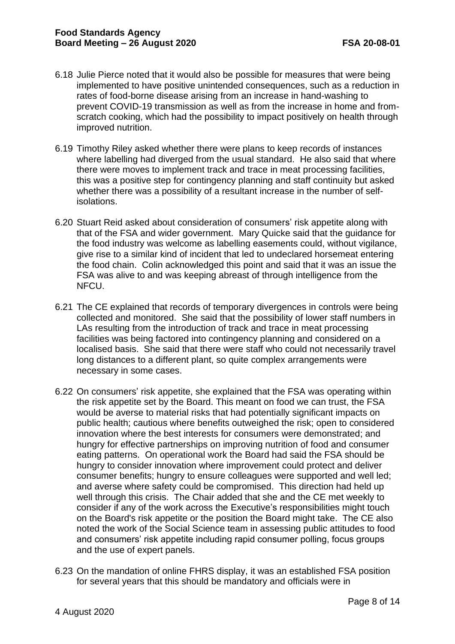- 6.18 Julie Pierce noted that it would also be possible for measures that were being implemented to have positive unintended consequences, such as a reduction in rates of food-borne disease arising from an increase in hand-washing to prevent COVID-19 transmission as well as from the increase in home and fromscratch cooking, which had the possibility to impact positively on health through improved nutrition.
- 6.19 Timothy Riley asked whether there were plans to keep records of instances where labelling had diverged from the usual standard. He also said that where there were moves to implement track and trace in meat processing facilities, this was a positive step for contingency planning and staff continuity but asked whether there was a possibility of a resultant increase in the number of selfisolations.
- 6.20 Stuart Reid asked about consideration of consumers' risk appetite along with that of the FSA and wider government. Mary Quicke said that the guidance for the food industry was welcome as labelling easements could, without vigilance, give rise to a similar kind of incident that led to undeclared horsemeat entering the food chain. Colin acknowledged this point and said that it was an issue the FSA was alive to and was keeping abreast of through intelligence from the NFCU.
- 6.21 The CE explained that records of temporary divergences in controls were being collected and monitored. She said that the possibility of lower staff numbers in LAs resulting from the introduction of track and trace in meat processing facilities was being factored into contingency planning and considered on a localised basis. She said that there were staff who could not necessarily travel long distances to a different plant, so quite complex arrangements were necessary in some cases.
- 6.22 On consumers' risk appetite, she explained that the FSA was operating within the risk appetite set by the Board. This meant on food we can trust, the FSA would be averse to material risks that had potentially significant impacts on public health; cautious where benefits outweighed the risk; open to considered innovation where the best interests for consumers were demonstrated; and hungry for effective partnerships on improving nutrition of food and consumer eating patterns. On operational work the Board had said the FSA should be hungry to consider innovation where improvement could protect and deliver consumer benefits; hungry to ensure colleagues were supported and well led; and averse where safety could be compromised. This direction had held up well through this crisis. The Chair added that she and the CE met weekly to consider if any of the work across the Executive's responsibilities might touch on the Board's risk appetite or the position the Board might take. The CE also noted the work of the Social Science team in assessing public attitudes to food and consumers' risk appetite including rapid consumer polling, focus groups and the use of expert panels.
- 6.23 On the mandation of online FHRS display, it was an established FSA position for several years that this should be mandatory and officials were in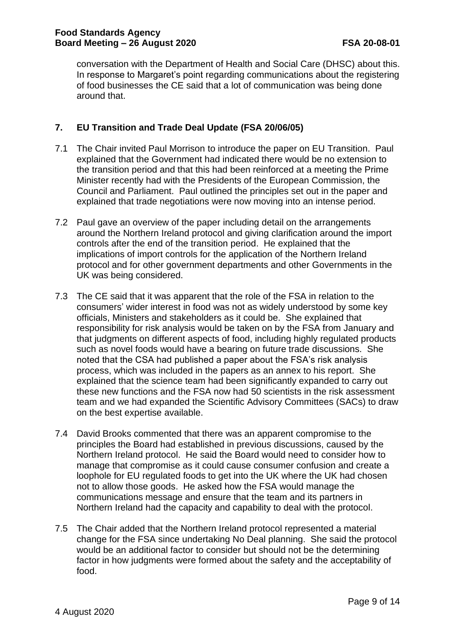conversation with the Department of Health and Social Care (DHSC) about this. In response to Margaret's point regarding communications about the registering of food businesses the CE said that a lot of communication was being done around that.

# **7. EU Transition and Trade Deal Update (FSA 20/06/05)**

- 7.1 The Chair invited Paul Morrison to introduce the paper on EU Transition. Paul explained that the Government had indicated there would be no extension to the transition period and that this had been reinforced at a meeting the Prime Minister recently had with the Presidents of the European Commission, the Council and Parliament. Paul outlined the principles set out in the paper and explained that trade negotiations were now moving into an intense period.
- 7.2 Paul gave an overview of the paper including detail on the arrangements around the Northern Ireland protocol and giving clarification around the import controls after the end of the transition period. He explained that the implications of import controls for the application of the Northern Ireland protocol and for other government departments and other Governments in the UK was being considered.
- 7.3 The CE said that it was apparent that the role of the FSA in relation to the consumers' wider interest in food was not as widely understood by some key officials, Ministers and stakeholders as it could be. She explained that responsibility for risk analysis would be taken on by the FSA from January and that judgments on different aspects of food, including highly regulated products such as novel foods would have a bearing on future trade discussions. She noted that the CSA had published a paper about the FSA's risk analysis process, which was included in the papers as an annex to his report. She explained that the science team had been significantly expanded to carry out these new functions and the FSA now had 50 scientists in the risk assessment team and we had expanded the Scientific Advisory Committees (SACs) to draw on the best expertise available.
- 7.4 David Brooks commented that there was an apparent compromise to the principles the Board had established in previous discussions, caused by the Northern Ireland protocol. He said the Board would need to consider how to manage that compromise as it could cause consumer confusion and create a loophole for EU regulated foods to get into the UK where the UK had chosen not to allow those goods. He asked how the FSA would manage the communications message and ensure that the team and its partners in Northern Ireland had the capacity and capability to deal with the protocol.
- 7.5 The Chair added that the Northern Ireland protocol represented a material change for the FSA since undertaking No Deal planning. She said the protocol would be an additional factor to consider but should not be the determining factor in how judgments were formed about the safety and the acceptability of food.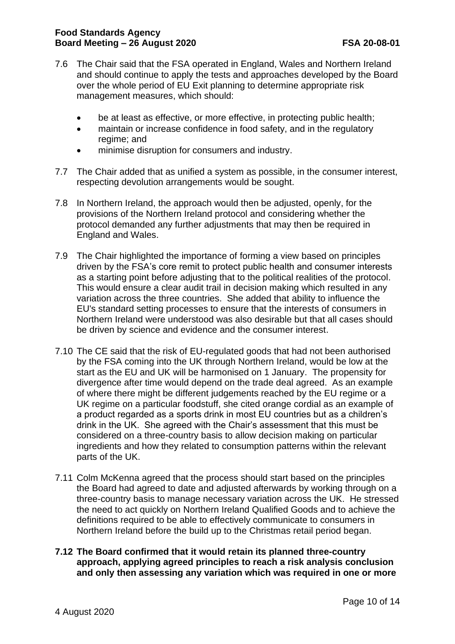## **Food Standards Agency Board Meeting – 26 August 2020 FSA 20-08-01**

- 7.6 The Chair said that the FSA operated in England, Wales and Northern Ireland and should continue to apply the tests and approaches developed by the Board over the whole period of EU Exit planning to determine appropriate risk management measures, which should:
	- be at least as effective, or more effective, in protecting public health;
	- maintain or increase confidence in food safety, and in the regulatory regime; and
	- minimise disruption for consumers and industry.
- 7.7 The Chair added that as unified a system as possible, in the consumer interest, respecting devolution arrangements would be sought.
- 7.8 In Northern Ireland, the approach would then be adjusted, openly, for the provisions of the Northern Ireland protocol and considering whether the protocol demanded any further adjustments that may then be required in England and Wales.
- 7.9 The Chair highlighted the importance of forming a view based on principles driven by the FSA's core remit to protect public health and consumer interests as a starting point before adjusting that to the political realities of the protocol. This would ensure a clear audit trail in decision making which resulted in any variation across the three countries. She added that ability to influence the EU's standard setting processes to ensure that the interests of consumers in Northern Ireland were understood was also desirable but that all cases should be driven by science and evidence and the consumer interest.
- 7.10 The CE said that the risk of EU-regulated goods that had not been authorised by the FSA coming into the UK through Northern Ireland, would be low at the start as the EU and UK will be harmonised on 1 January. The propensity for divergence after time would depend on the trade deal agreed. As an example of where there might be different judgements reached by the EU regime or a UK regime on a particular foodstuff, she cited orange cordial as an example of a product regarded as a sports drink in most EU countries but as a children's drink in the UK. She agreed with the Chair's assessment that this must be considered on a three-country basis to allow decision making on particular ingredients and how they related to consumption patterns within the relevant parts of the UK.
- 7.11 Colm McKenna agreed that the process should start based on the principles the Board had agreed to date and adjusted afterwards by working through on a three-country basis to manage necessary variation across the UK. He stressed the need to act quickly on Northern Ireland Qualified Goods and to achieve the definitions required to be able to effectively communicate to consumers in Northern Ireland before the build up to the Christmas retail period began.
- **7.12 The Board confirmed that it would retain its planned three-country approach, applying agreed principles to reach a risk analysis conclusion and only then assessing any variation which was required in one or more**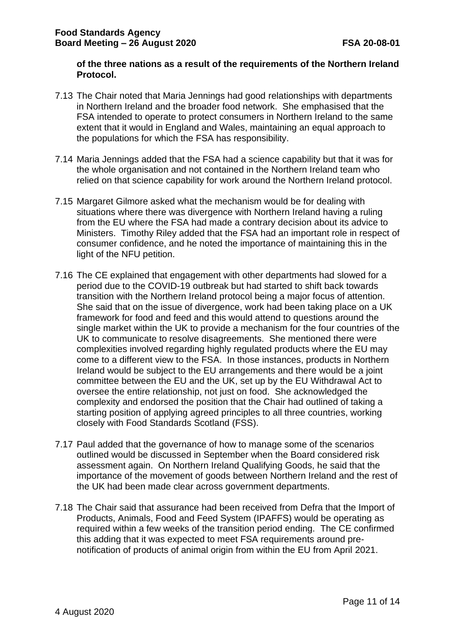#### **of the three nations as a result of the requirements of the Northern Ireland Protocol.**

- 7.13 The Chair noted that Maria Jennings had good relationships with departments in Northern Ireland and the broader food network. She emphasised that the FSA intended to operate to protect consumers in Northern Ireland to the same extent that it would in England and Wales, maintaining an equal approach to the populations for which the FSA has responsibility.
- 7.14 Maria Jennings added that the FSA had a science capability but that it was for the whole organisation and not contained in the Northern Ireland team who relied on that science capability for work around the Northern Ireland protocol.
- 7.15 Margaret Gilmore asked what the mechanism would be for dealing with situations where there was divergence with Northern Ireland having a ruling from the EU where the FSA had made a contrary decision about its advice to Ministers. Timothy Riley added that the FSA had an important role in respect of consumer confidence, and he noted the importance of maintaining this in the light of the NFU petition.
- 7.16 The CE explained that engagement with other departments had slowed for a period due to the COVID-19 outbreak but had started to shift back towards transition with the Northern Ireland protocol being a major focus of attention. She said that on the issue of divergence, work had been taking place on a UK framework for food and feed and this would attend to questions around the single market within the UK to provide a mechanism for the four countries of the UK to communicate to resolve disagreements. She mentioned there were complexities involved regarding highly regulated products where the EU may come to a different view to the FSA. In those instances, products in Northern Ireland would be subject to the EU arrangements and there would be a joint committee between the EU and the UK, set up by the EU Withdrawal Act to oversee the entire relationship, not just on food. She acknowledged the complexity and endorsed the position that the Chair had outlined of taking a starting position of applying agreed principles to all three countries, working closely with Food Standards Scotland (FSS).
- 7.17 Paul added that the governance of how to manage some of the scenarios outlined would be discussed in September when the Board considered risk assessment again. On Northern Ireland Qualifying Goods, he said that the importance of the movement of goods between Northern Ireland and the rest of the UK had been made clear across government departments.
- 7.18 The Chair said that assurance had been received from Defra that the Import of Products, Animals, Food and Feed System (IPAFFS) would be operating as required within a few weeks of the transition period ending. The CE confirmed this adding that it was expected to meet FSA requirements around prenotification of products of animal origin from within the EU from April 2021.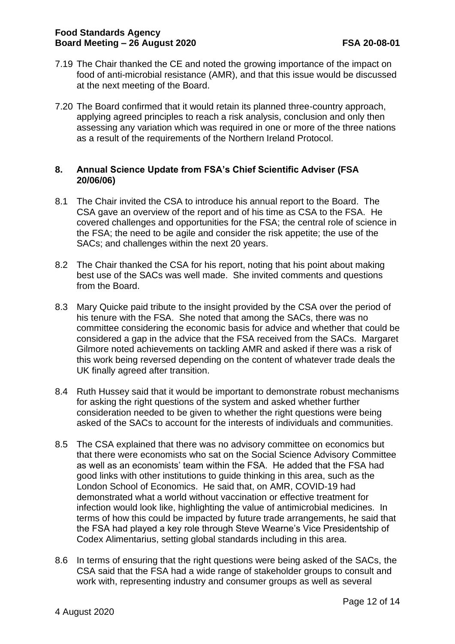- 7.19 The Chair thanked the CE and noted the growing importance of the impact on food of anti-microbial resistance (AMR), and that this issue would be discussed at the next meeting of the Board.
- 7.20 The Board confirmed that it would retain its planned three-country approach, applying agreed principles to reach a risk analysis, conclusion and only then assessing any variation which was required in one or more of the three nations as a result of the requirements of the Northern Ireland Protocol.

## **8. Annual Science Update from FSA's Chief Scientific Adviser (FSA 20/06/06)**

- 8.1 The Chair invited the CSA to introduce his annual report to the Board. The CSA gave an overview of the report and of his time as CSA to the FSA. He covered challenges and opportunities for the FSA; the central role of science in the FSA; the need to be agile and consider the risk appetite; the use of the SACs; and challenges within the next 20 years.
- 8.2 The Chair thanked the CSA for his report, noting that his point about making best use of the SACs was well made. She invited comments and questions from the Board.
- 8.3 Mary Quicke paid tribute to the insight provided by the CSA over the period of his tenure with the FSA. She noted that among the SACs, there was no committee considering the economic basis for advice and whether that could be considered a gap in the advice that the FSA received from the SACs. Margaret Gilmore noted achievements on tackling AMR and asked if there was a risk of this work being reversed depending on the content of whatever trade deals the UK finally agreed after transition.
- 8.4 Ruth Hussey said that it would be important to demonstrate robust mechanisms for asking the right questions of the system and asked whether further consideration needed to be given to whether the right questions were being asked of the SACs to account for the interests of individuals and communities.
- 8.5 The CSA explained that there was no advisory committee on economics but that there were economists who sat on the Social Science Advisory Committee as well as an economists' team within the FSA. He added that the FSA had good links with other institutions to guide thinking in this area, such as the London School of Economics. He said that, on AMR, COVID-19 had demonstrated what a world without vaccination or effective treatment for infection would look like, highlighting the value of antimicrobial medicines. In terms of how this could be impacted by future trade arrangements, he said that the FSA had played a key role through Steve Wearne's Vice Presidentship of Codex Alimentarius, setting global standards including in this area.
- 8.6 In terms of ensuring that the right questions were being asked of the SACs, the CSA said that the FSA had a wide range of stakeholder groups to consult and work with, representing industry and consumer groups as well as several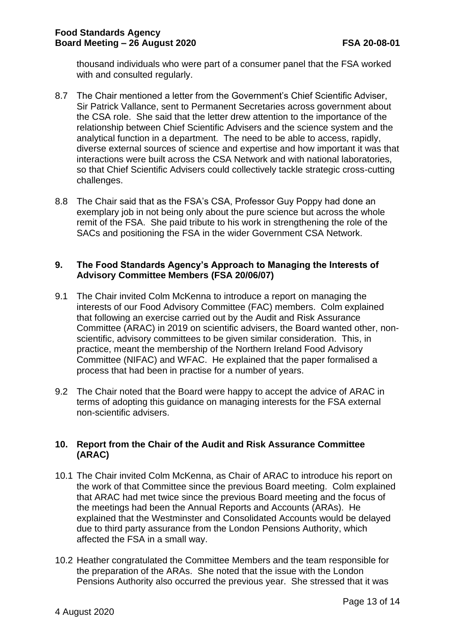thousand individuals who were part of a consumer panel that the FSA worked with and consulted regularly.

- 8.7 The Chair mentioned a letter from the Government's Chief Scientific Adviser, Sir Patrick Vallance, sent to Permanent Secretaries across government about the CSA role. She said that the letter drew attention to the importance of the relationship between Chief Scientific Advisers and the science system and the analytical function in a department. The need to be able to access, rapidly, diverse external sources of science and expertise and how important it was that interactions were built across the CSA Network and with national laboratories, so that Chief Scientific Advisers could collectively tackle strategic cross-cutting challenges.
- 8.8 The Chair said that as the FSA's CSA, Professor Guy Poppy had done an exemplary job in not being only about the pure science but across the whole remit of the FSA. She paid tribute to his work in strengthening the role of the SACs and positioning the FSA in the wider Government CSA Network.

## **9. The Food Standards Agency's Approach to Managing the Interests of Advisory Committee Members (FSA 20/06/07)**

- 9.1 The Chair invited Colm McKenna to introduce a report on managing the interests of our Food Advisory Committee (FAC) members. Colm explained that following an exercise carried out by the Audit and Risk Assurance Committee (ARAC) in 2019 on scientific advisers, the Board wanted other, nonscientific, advisory committees to be given similar consideration. This, in practice, meant the membership of the Northern Ireland Food Advisory Committee (NIFAC) and WFAC. He explained that the paper formalised a process that had been in practise for a number of years.
- 9.2 The Chair noted that the Board were happy to accept the advice of ARAC in terms of adopting this guidance on managing interests for the FSA external non-scientific advisers.

# **10. Report from the Chair of the Audit and Risk Assurance Committee (ARAC)**

- 10.1 The Chair invited Colm McKenna, as Chair of ARAC to introduce his report on the work of that Committee since the previous Board meeting. Colm explained that ARAC had met twice since the previous Board meeting and the focus of the meetings had been the Annual Reports and Accounts (ARAs). He explained that the Westminster and Consolidated Accounts would be delayed due to third party assurance from the London Pensions Authority, which affected the FSA in a small way.
- 10.2 Heather congratulated the Committee Members and the team responsible for the preparation of the ARAs. She noted that the issue with the London Pensions Authority also occurred the previous year. She stressed that it was